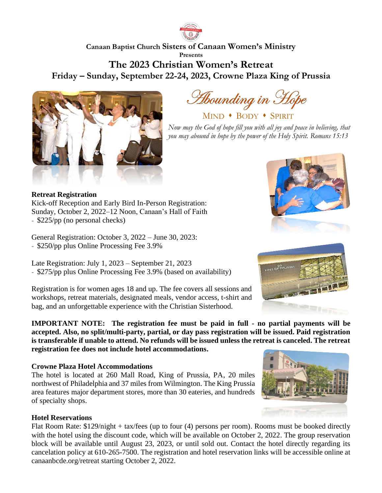

# **Canaan Baptist Church Sisters of Canaan Women's Ministry Presents The 2023 Christian Women's Retreat Friday – Sunday, September 22-24, 2023, Crowne Plaza King of Prussia**



Hounding in Hope

MIND • BODY • SPIRIT

*Now may the God of hope fill you with all joy and peace in believing, that you may abound in hope by the power of the Holy Spirit. Romans 15:13*

### **Retreat Registration**

Kick-off Reception and Early Bird In-Person Registration: Sunday, October 2, 2022–12 Noon, Canaan's Hall of Faith - \$225/pp (no personal checks)

General Registration: October 3, 2022 – June 30, 2023: - \$250/pp plus Online Processing Fee 3.9%

Late Registration: July 1, 2023 – September 21, 2023 - \$275/pp plus Online Processing Fee 3.9% (based on availability)

Registration is for women ages 18 and up. The fee covers all sessions and workshops, retreat materials, designated meals, vendor access, t-shirt and bag, and an unforgettable experience with the Christian Sisterhood.

**IMPORTANT NOTE: The registration fee must be paid in full - no partial payments will be accepted. Also, no split/multi-party, partial, or day pass registration will be issued. Paid registration is transferable if unable to attend. No refunds will be issued unless the retreat is canceled. The retreat registration fee does not include hotel accommodations.**

# **Crowne Plaza Hotel Accommodations**

The hotel is located at 260 Mall Road, King of Prussia, PA, 20 miles northwest of Philadelphia and 37 miles from Wilmington. The King Prussia area features major department stores, more than 30 eateries, and hundreds of specialty shops.

# **Hotel Reservations**

Flat Room Rate: \$129/night + tax/fees (up to four (4) persons per room). Rooms must be booked directly with the hotel using the discount code, which will be available on October 2, 2022. The group reservation block will be available until August 23, 2023, or until sold out. Contact the hotel directly regarding its cancelation policy at 610-265-7500. The registration and hotel reservation links will be accessible online at canaanbcde.org/retreat starting October 2, 2022.